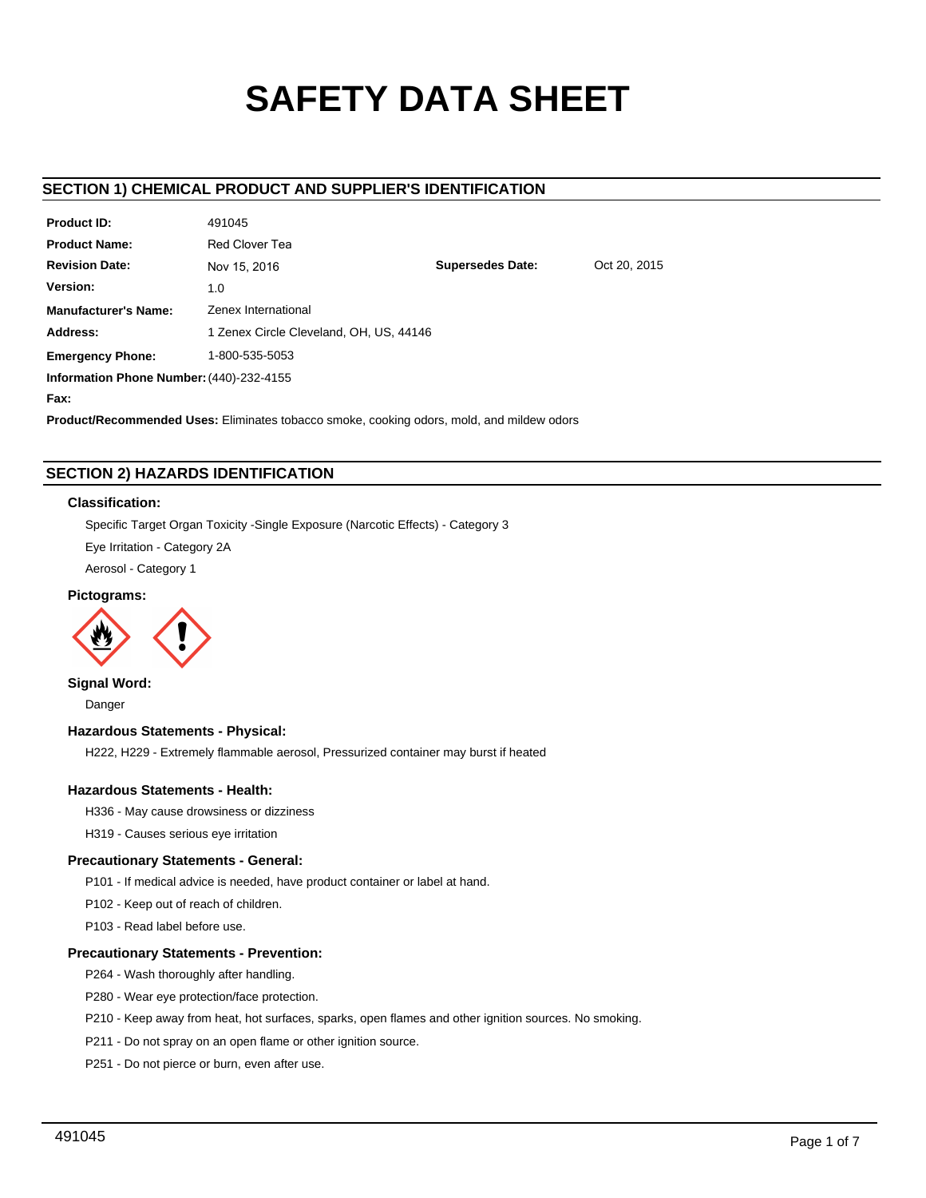# **SAFETY DATA SHEET**

# **SECTION 1) CHEMICAL PRODUCT AND SUPPLIER'S IDENTIFICATION**

| <b>Product ID:</b>                       | 491045                                  |                         |              |  |  |
|------------------------------------------|-----------------------------------------|-------------------------|--------------|--|--|
| <b>Product Name:</b>                     | Red Clover Tea                          |                         |              |  |  |
| <b>Revision Date:</b>                    | Nov 15, 2016                            | <b>Supersedes Date:</b> | Oct 20, 2015 |  |  |
| Version:                                 | 1.0                                     |                         |              |  |  |
| <b>Manufacturer's Name:</b>              | Zenex International                     |                         |              |  |  |
| Address:                                 | 1 Zenex Circle Cleveland, OH, US, 44146 |                         |              |  |  |
| <b>Emergency Phone:</b>                  | 1-800-535-5053                          |                         |              |  |  |
| Information Phone Number: (440)-232-4155 |                                         |                         |              |  |  |
|                                          |                                         |                         |              |  |  |

**Fax:**

**Product/Recommended Uses:** Eliminates tobacco smoke, cooking odors, mold, and mildew odors

# **SECTION 2) HAZARDS IDENTIFICATION**

# **Classification:**

Specific Target Organ Toxicity -Single Exposure (Narcotic Effects) - Category 3

Eye Irritation - Category 2A

Aerosol - Category 1

# **Pictograms:**



**Signal Word:**

Danger

# **Hazardous Statements - Physical:**

H222, H229 - Extremely flammable aerosol, Pressurized container may burst if heated

# **Hazardous Statements - Health:**

H336 - May cause drowsiness or dizziness

H319 - Causes serious eye irritation

# **Precautionary Statements - General:**

P101 - If medical advice is needed, have product container or label at hand.

P102 - Keep out of reach of children.

P103 - Read label before use.

# **Precautionary Statements - Prevention:**

P264 - Wash thoroughly after handling.

P280 - Wear eye protection/face protection.

P210 - Keep away from heat, hot surfaces, sparks, open flames and other ignition sources. No smoking.

P211 - Do not spray on an open flame or other ignition source.

P251 - Do not pierce or burn, even after use.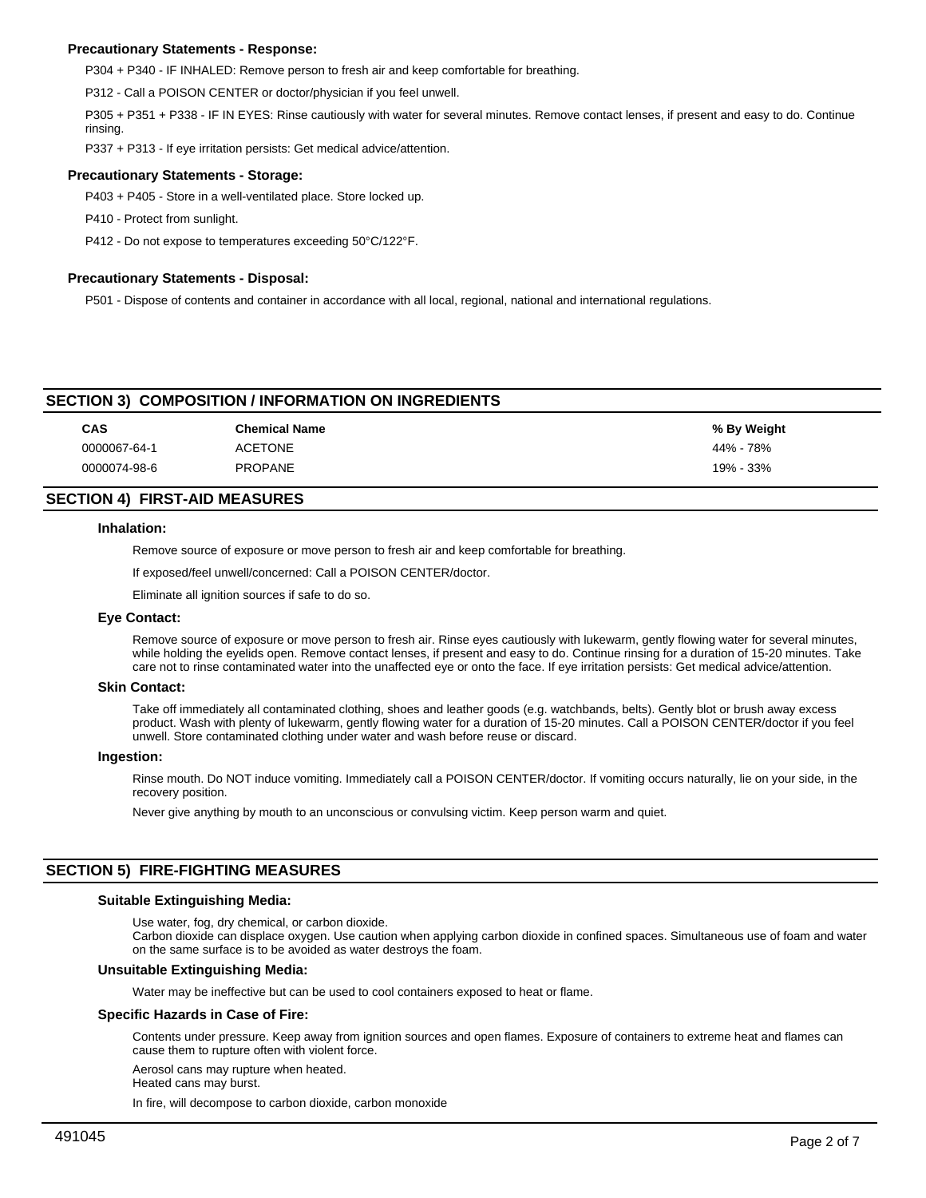# **Precautionary Statements - Response:**

P304 + P340 - IF INHALED: Remove person to fresh air and keep comfortable for breathing.

P312 - Call a POISON CENTER or doctor/physician if you feel unwell.

P305 + P351 + P338 - IF IN EYES: Rinse cautiously with water for several minutes. Remove contact lenses, if present and easy to do. Continue rinsing.

P337 + P313 - If eye irritation persists: Get medical advice/attention.

# **Precautionary Statements - Storage:**

P403 + P405 - Store in a well-ventilated place. Store locked up.

P410 - Protect from sunlight.

P412 - Do not expose to temperatures exceeding 50°C/122°F.

# **Precautionary Statements - Disposal:**

P501 - Dispose of contents and container in accordance with all local, regional, national and international regulations.

# **SECTION 3) COMPOSITION / INFORMATION ON INGREDIENTS**

| <b>CAS</b> |              | <b>Chemical Name</b> | % By Weight |
|------------|--------------|----------------------|-------------|
|            | 0000067-64-1 | <b>ACETONE</b>       | 44% - 78%   |
|            | 0000074-98-6 | <b>PROPANE</b>       | 19% - 33%   |

# **SECTION 4) FIRST-AID MEASURES**

## **Inhalation:**

Remove source of exposure or move person to fresh air and keep comfortable for breathing.

If exposed/feel unwell/concerned: Call a POISON CENTER/doctor.

Eliminate all ignition sources if safe to do so.

#### **Eye Contact:**

Remove source of exposure or move person to fresh air. Rinse eyes cautiously with lukewarm, gently flowing water for several minutes, while holding the eyelids open. Remove contact lenses, if present and easy to do. Continue rinsing for a duration of 15-20 minutes. Take care not to rinse contaminated water into the unaffected eye or onto the face. If eye irritation persists: Get medical advice/attention.

#### **Skin Contact:**

Take off immediately all contaminated clothing, shoes and leather goods (e.g. watchbands, belts). Gently blot or brush away excess product. Wash with plenty of lukewarm, gently flowing water for a duration of 15-20 minutes. Call a POISON CENTER/doctor if you feel unwell. Store contaminated clothing under water and wash before reuse or discard.

#### **Ingestion:**

Rinse mouth. Do NOT induce vomiting. Immediately call a POISON CENTER/doctor. If vomiting occurs naturally, lie on your side, in the recovery position.

Never give anything by mouth to an unconscious or convulsing victim. Keep person warm and quiet.

# **SECTION 5) FIRE-FIGHTING MEASURES**

#### **Suitable Extinguishing Media:**

Use water, fog, dry chemical, or carbon dioxide.

Carbon dioxide can displace oxygen. Use caution when applying carbon dioxide in confined spaces. Simultaneous use of foam and water on the same surface is to be avoided as water destroys the foam.

#### **Unsuitable Extinguishing Media:**

Water may be ineffective but can be used to cool containers exposed to heat or flame.

# **Specific Hazards in Case of Fire:**

Contents under pressure. Keep away from ignition sources and open flames. Exposure of containers to extreme heat and flames can cause them to rupture often with violent force.

Aerosol cans may rupture when heated. Heated cans may burst.

In fire, will decompose to carbon dioxide, carbon monoxide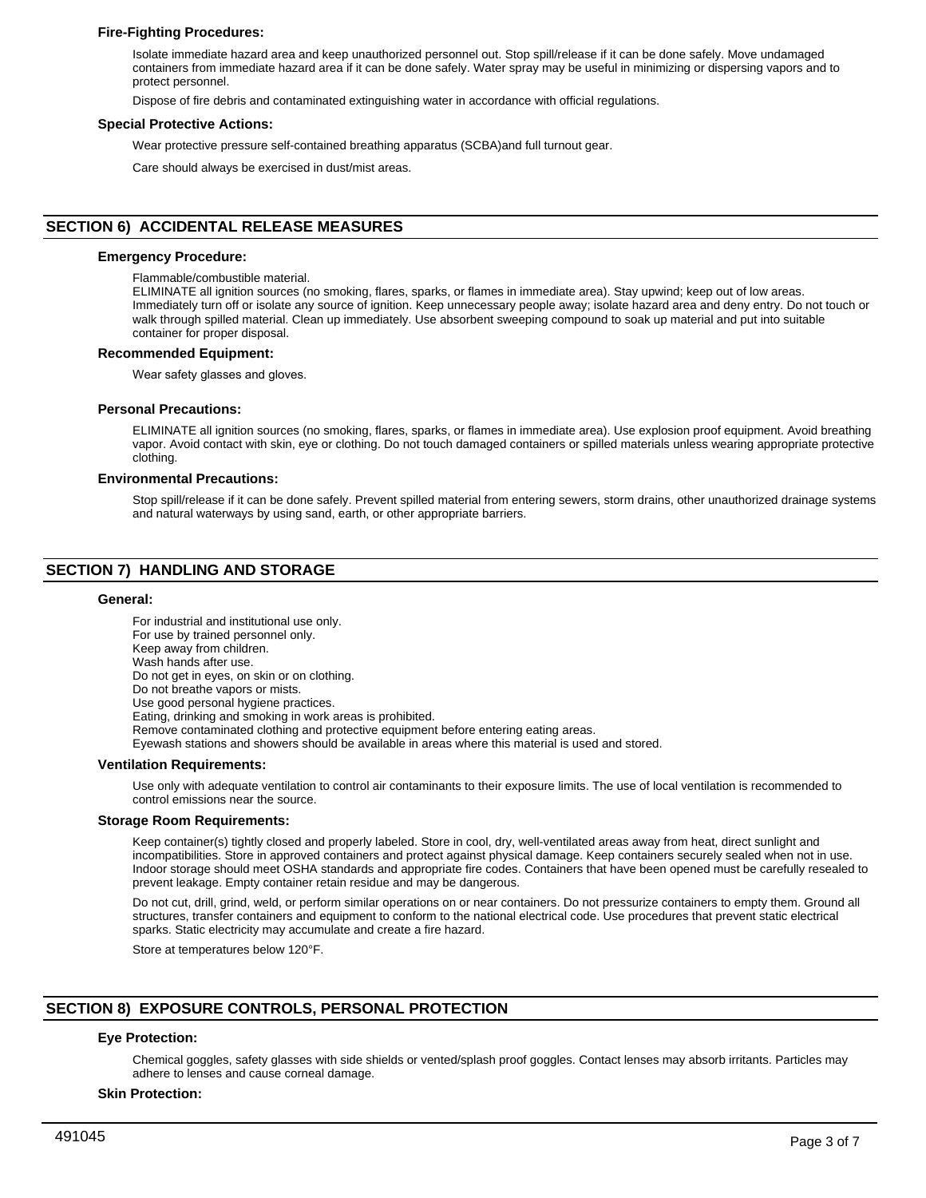# **Fire-Fighting Procedures:**

Isolate immediate hazard area and keep unauthorized personnel out. Stop spill/release if it can be done safely. Move undamaged containers from immediate hazard area if it can be done safely. Water spray may be useful in minimizing or dispersing vapors and to protect personnel.

Dispose of fire debris and contaminated extinguishing water in accordance with official regulations.

### **Special Protective Actions:**

Wear protective pressure self-contained breathing apparatus (SCBA)and full turnout gear.

Care should always be exercised in dust/mist areas.

# **SECTION 6) ACCIDENTAL RELEASE MEASURES**

## **Emergency Procedure:**

Flammable/combustible material.

ELIMINATE all ignition sources (no smoking, flares, sparks, or flames in immediate area). Stay upwind; keep out of low areas. Immediately turn off or isolate any source of ignition. Keep unnecessary people away; isolate hazard area and deny entry. Do not touch or walk through spilled material. Clean up immediately. Use absorbent sweeping compound to soak up material and put into suitable container for proper disposal.

## **Recommended Equipment:**

Wear safety glasses and gloves.

## **Personal Precautions:**

ELIMINATE all ignition sources (no smoking, flares, sparks, or flames in immediate area). Use explosion proof equipment. Avoid breathing vapor. Avoid contact with skin, eye or clothing. Do not touch damaged containers or spilled materials unless wearing appropriate protective clothing.

## **Environmental Precautions:**

Stop spill/release if it can be done safely. Prevent spilled material from entering sewers, storm drains, other unauthorized drainage systems and natural waterways by using sand, earth, or other appropriate barriers.

# **SECTION 7) HANDLING AND STORAGE**

#### **General:**

For industrial and institutional use only. For use by trained personnel only. Keep away from children. Wash hands after use. Do not get in eyes, on skin or on clothing. Do not breathe vapors or mists. Use good personal hygiene practices. Eating, drinking and smoking in work areas is prohibited. Remove contaminated clothing and protective equipment before entering eating areas. Eyewash stations and showers should be available in areas where this material is used and stored. **Ventilation Requirements:**

Use only with adequate ventilation to control air contaminants to their exposure limits. The use of local ventilation is recommended to control emissions near the source.

#### **Storage Room Requirements:**

Keep container(s) tightly closed and properly labeled. Store in cool, dry, well-ventilated areas away from heat, direct sunlight and incompatibilities. Store in approved containers and protect against physical damage. Keep containers securely sealed when not in use. Indoor storage should meet OSHA standards and appropriate fire codes. Containers that have been opened must be carefully resealed to prevent leakage. Empty container retain residue and may be dangerous.

Do not cut, drill, grind, weld, or perform similar operations on or near containers. Do not pressurize containers to empty them. Ground all structures, transfer containers and equipment to conform to the national electrical code. Use procedures that prevent static electrical sparks. Static electricity may accumulate and create a fire hazard.

Store at temperatures below 120°F.

# **SECTION 8) EXPOSURE CONTROLS, PERSONAL PROTECTION**

# **Eye Protection:**

Chemical goggles, safety glasses with side shields or vented/splash proof goggles. Contact lenses may absorb irritants. Particles may adhere to lenses and cause corneal damage.

#### **Skin Protection:**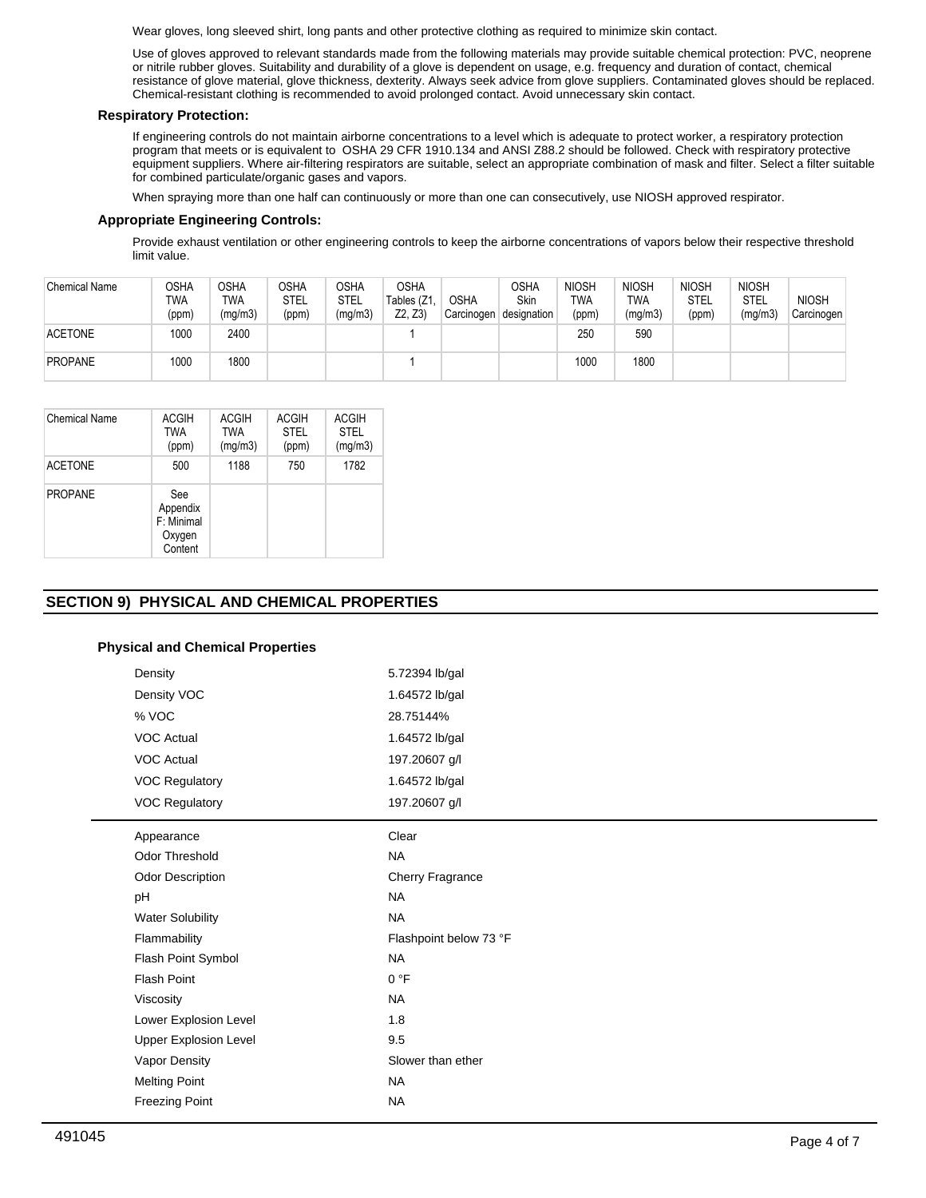Wear gloves, long sleeved shirt, long pants and other protective clothing as required to minimize skin contact.

Use of gloves approved to relevant standards made from the following materials may provide suitable chemical protection: PVC, neoprene or nitrile rubber gloves. Suitability and durability of a glove is dependent on usage, e.g. frequency and duration of contact, chemical resistance of glove material, glove thickness, dexterity. Always seek advice from glove suppliers. Contaminated gloves should be replaced. Chemical-resistant clothing is recommended to avoid prolonged contact. Avoid unnecessary skin contact.

# **Respiratory Protection:**

If engineering controls do not maintain airborne concentrations to a level which is adequate to protect worker, a respiratory protection program that meets or is equivalent to OSHA 29 CFR 1910.134 and ANSI Z88.2 should be followed. Check with respiratory protective equipment suppliers. Where air-filtering respirators are suitable, select an appropriate combination of mask and filter. Select a filter suitable for combined particulate/organic gases and vapors.

When spraying more than one half can continuously or more than one can consecutively, use NIOSH approved respirator.

# **Appropriate Engineering Controls:**

Provide exhaust ventilation or other engineering controls to keep the airborne concentrations of vapors below their respective threshold limit value.

| <b>Chemical Name</b> | OSHA<br><b>TWA</b><br>(ppm) | <b>OSHA</b><br><b>TWA</b><br>(mg/m3) | <b>OSHA</b><br><b>STEL</b><br>(ppm) | OSHA<br>STEL<br>(mg/m3) | <b>OSHA</b><br>Tables (Z1<br>Z2. Z3 | <b>OSHA</b><br>Carcinogen | <b>OSHA</b><br><b>Skin</b><br>designation | <b>NIOSH</b><br>TWA<br>(ppm) | <b>NIOSH</b><br>TWA<br>(mg/m3) | <b>NIOSH</b><br><b>STEL</b><br>(ppm) | <b>NIOSH</b><br><b>STEL</b><br>(mg/m3) | <b>NIOSH</b><br>Carcinogen |
|----------------------|-----------------------------|--------------------------------------|-------------------------------------|-------------------------|-------------------------------------|---------------------------|-------------------------------------------|------------------------------|--------------------------------|--------------------------------------|----------------------------------------|----------------------------|
| <b>ACETONE</b>       | 1000                        | 2400                                 |                                     |                         |                                     |                           |                                           | 250                          | 590                            |                                      |                                        |                            |
| <b>PROPANE</b>       | 1000                        | 1800                                 |                                     |                         |                                     |                           |                                           | 1000                         | 1800                           |                                      |                                        |                            |

| <b>Chemical Name</b> | <b>ACGIH</b><br><b>TWA</b><br>(ppm)                | <b>ACGIH</b><br><b>TWA</b><br>(mg/m3) | <b>ACGIH</b><br><b>STEL</b><br>(ppm) | <b>ACGIH</b><br><b>STEL</b><br>(mg/m3) |
|----------------------|----------------------------------------------------|---------------------------------------|--------------------------------------|----------------------------------------|
| <b>ACETONE</b>       | 500                                                | 1188                                  | 750                                  | 1782                                   |
| <b>PROPANE</b>       | See<br>Appendix<br>F: Minimal<br>Oxygen<br>Content |                                       |                                      |                                        |

# **SECTION 9) PHYSICAL AND CHEMICAL PROPERTIES**

# **Physical and Chemical Properties**

| Density                      | 5.72394 lb/gal         |
|------------------------------|------------------------|
| Density VOC                  | 1.64572 lb/gal         |
| % VOC                        | 28.75144%              |
| <b>VOC Actual</b>            | 1.64572 lb/gal         |
| VOC Actual                   | 197.20607 g/l          |
| VOC Regulatory               | 1.64572 lb/gal         |
| VOC Regulatory               | 197.20607 g/l          |
| Appearance                   | Clear                  |
| <b>Odor Threshold</b>        | <b>NA</b>              |
| Odor Description             | Cherry Fragrance       |
| pH                           | <b>NA</b>              |
| <b>Water Solubility</b>      | <b>NA</b>              |
| Flammability                 | Flashpoint below 73 °F |
| Flash Point Symbol           | <b>NA</b>              |
| <b>Flash Point</b>           | 0 °F                   |
| Viscosity                    | <b>NA</b>              |
| Lower Explosion Level        | 1.8                    |
| <b>Upper Explosion Level</b> | 9.5                    |
| Vapor Density                | Slower than ether      |
| <b>Melting Point</b>         | <b>NA</b>              |
| <b>Freezing Point</b>        | <b>NA</b>              |
|                              |                        |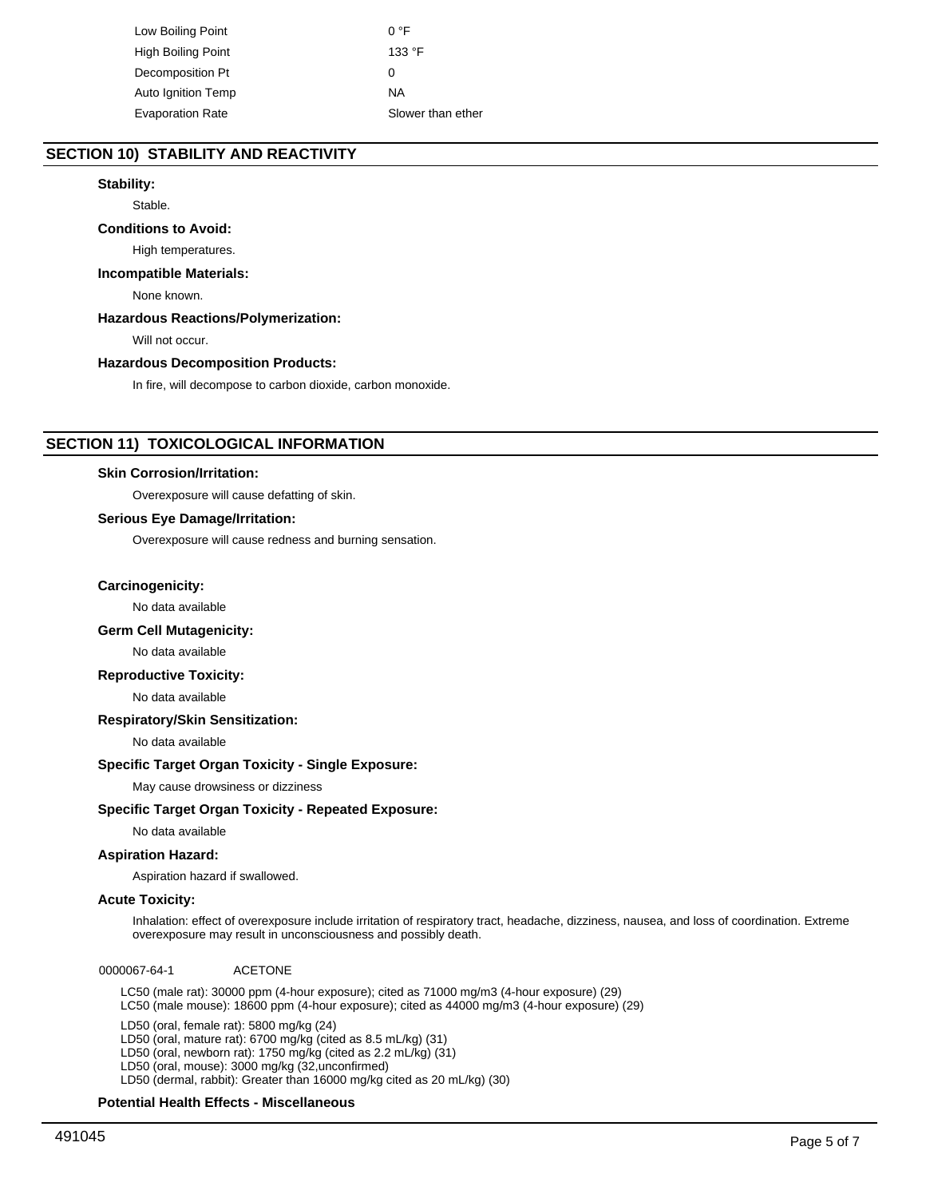Low Boiling Point 0 °F High Boiling Point 133 °F Decomposition Pt 0 Auto Ignition Temp NA Evaporation Rate Slower than ether

# **SECTION 10) STABILITY AND REACTIVITY**

# **Stability:**

Stable.

# **Conditions to Avoid:**

High temperatures.

# **Incompatible Materials:**

None known.

# **Hazardous Reactions/Polymerization:**

Will not occur.

## **Hazardous Decomposition Products:**

In fire, will decompose to carbon dioxide, carbon monoxide.

# **SECTION 11) TOXICOLOGICAL INFORMATION**

#### **Skin Corrosion/Irritation:**

Overexposure will cause defatting of skin.

#### **Serious Eye Damage/Irritation:**

Overexposure will cause redness and burning sensation.

## **Carcinogenicity:**

No data available

# **Germ Cell Mutagenicity:**

No data available

# **Reproductive Toxicity:**

No data available

## **Respiratory/Skin Sensitization:**

No data available

# **Specific Target Organ Toxicity - Single Exposure:**

May cause drowsiness or dizziness

#### **Specific Target Organ Toxicity - Repeated Exposure:**

No data available

## **Aspiration Hazard:**

Aspiration hazard if swallowed.

# **Acute Toxicity:**

Inhalation: effect of overexposure include irritation of respiratory tract, headache, dizziness, nausea, and loss of coordination. Extreme overexposure may result in unconsciousness and possibly death.

0000067-64-1 ACETONE

LC50 (male rat): 30000 ppm (4-hour exposure); cited as 71000 mg/m3 (4-hour exposure) (29) LC50 (male mouse): 18600 ppm (4-hour exposure); cited as 44000 mg/m3 (4-hour exposure) (29)

LD50 (oral, female rat): 5800 mg/kg (24) LD50 (oral, mature rat): 6700 mg/kg (cited as 8.5 mL/kg) (31) LD50 (oral, newborn rat): 1750 mg/kg (cited as 2.2 mL/kg) (31) LD50 (oral, mouse): 3000 mg/kg (32,unconfirmed) LD50 (dermal, rabbit): Greater than 16000 mg/kg cited as 20 mL/kg) (30)

#### **Potential Health Effects - Miscellaneous**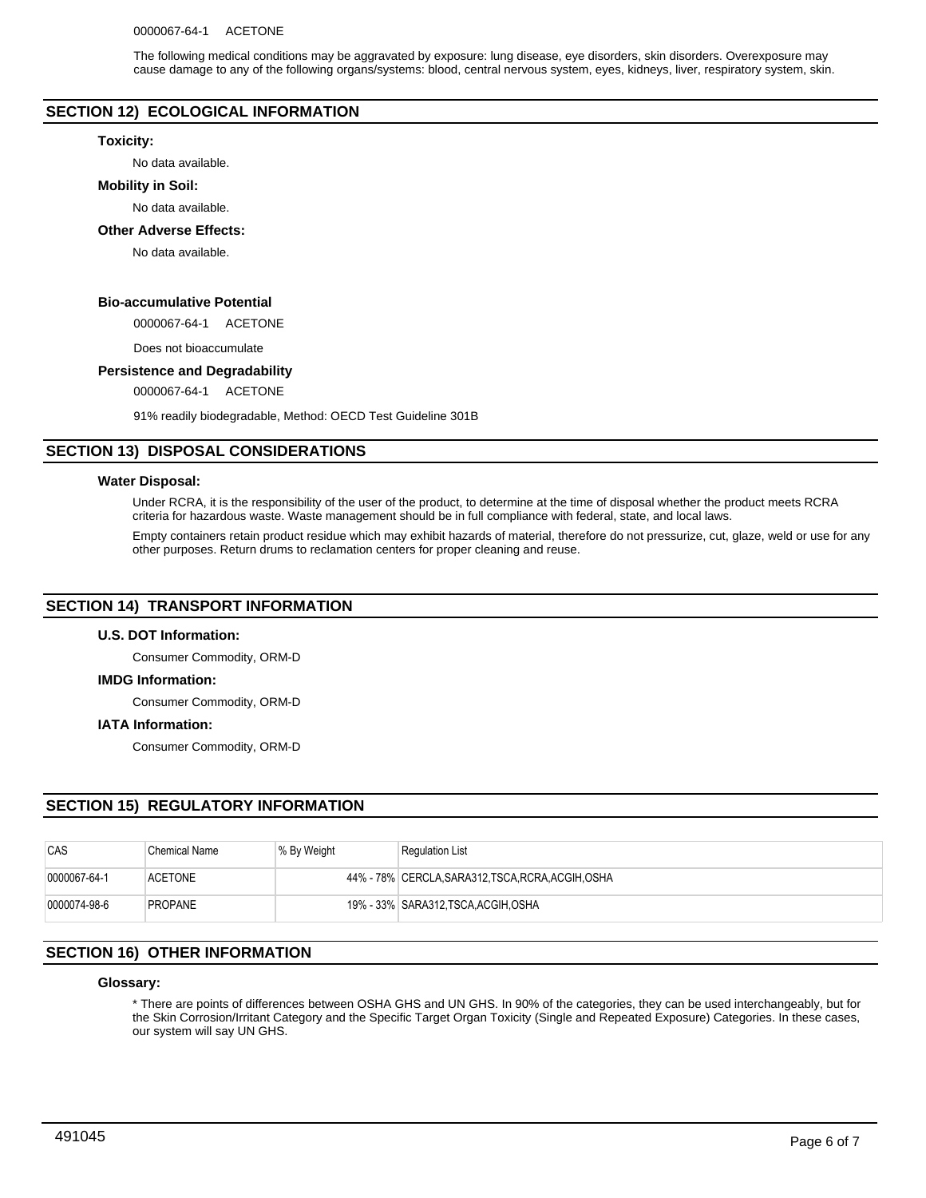The following medical conditions may be aggravated by exposure: lung disease, eye disorders, skin disorders. Overexposure may cause damage to any of the following organs/systems: blood, central nervous system, eyes, kidneys, liver, respiratory system, skin.

# **SECTION 12) ECOLOGICAL INFORMATION**

#### **Toxicity:**

No data available.

#### **Mobility in Soil:**

No data available.

#### **Other Adverse Effects:**

No data available.

# **Bio-accumulative Potential**

0000067-64-1 ACETONE

Does not bioaccumulate

# **Persistence and Degradability**

0000067-64-1 ACETONE

91% readily biodegradable, Method: OECD Test Guideline 301B

# **SECTION 13) DISPOSAL CONSIDERATIONS**

#### **Water Disposal:**

Under RCRA, it is the responsibility of the user of the product, to determine at the time of disposal whether the product meets RCRA criteria for hazardous waste. Waste management should be in full compliance with federal, state, and local laws.

Empty containers retain product residue which may exhibit hazards of material, therefore do not pressurize, cut, glaze, weld or use for any other purposes. Return drums to reclamation centers for proper cleaning and reuse.

# **SECTION 14) TRANSPORT INFORMATION**

#### **U.S. DOT Information:**

Consumer Commodity, ORM-D

#### **IMDG Information:**

Consumer Commodity, ORM-D

#### **IATA Information:**

Consumer Commodity, ORM-D

# **SECTION 15) REGULATORY INFORMATION**

| CAS          | <b>Chemical Name</b> | % By Weight | <b>Regulation List</b>                             |
|--------------|----------------------|-------------|----------------------------------------------------|
| 0000067-64-1 | <b>ACETONE</b>       |             | 44% - 78% CERCLA, SARA312, TSCA, RCRA, ACGIH, OSHA |
| 0000074-98-6 | <b>PROPANE</b>       |             | 19% - 33% SARA312.TSCA.ACGIH.OSHA                  |

# **SECTION 16) OTHER INFORMATION**

## **Glossary:**

\* There are points of differences between OSHA GHS and UN GHS. In 90% of the categories, they can be used interchangeably, but for the Skin Corrosion/Irritant Category and the Specific Target Organ Toxicity (Single and Repeated Exposure) Categories. In these cases, our system will say UN GHS.